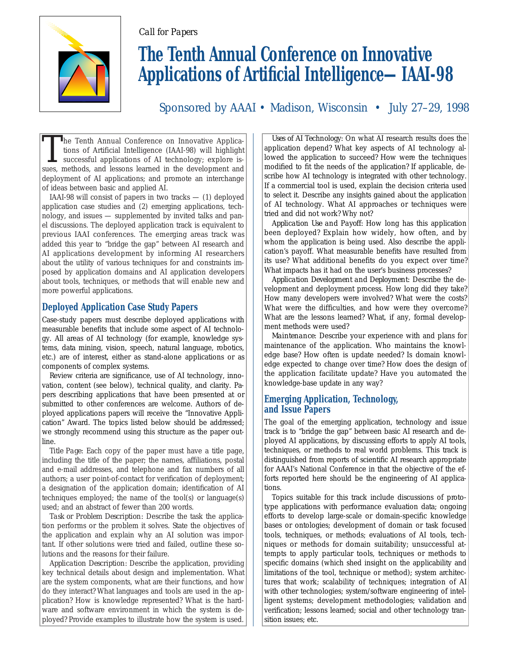



# **The Tenth Annual Conference on Innovative Applications of Artificial Intelligence—IAAI-98**

Sponsored by AAAI • Madison, Wisconsin • July 27–29, 1998

The Tenth Annual Conference on Innovative Applications of Artificial Intelligence (IAAI-98) will highlight successful applications of AI technology; explore issues, methods, and lessons learned in the development and deployment of AI applications; and promote an interchange of ideas between basic and applied AI.

IAAI-98 will consist of papers in two tracks — (1) deployed application case studies and (2) emerging applications, technology, and issues — supplemented by invited talks and panel discussions. The deployed application track is equivalent to previous IAAI conferences. The emerging areas track was added this year to "bridge the gap" between AI research and AI applications development by informing AI researchers about the utility of various techniques for and constraints imposed by application domains and AI application developers about tools, techniques, or methods that will enable new and more powerful applications.

## **Deployed Application Case Study Papers**

Case-study papers must describe deployed applications with measurable benefits that include some aspect of AI technology. All areas of AI technology (for example, knowledge systems, data mining, vision, speech, natural language, robotics, etc.) are of interest, either as stand-alone applications or as components of complex systems.

Review criteria are significance, use of AI technology, innovation, content (see below), technical quality, and clarity. Papers describing applications that have been presented at or submitted to other conferences are welcome. Authors of deployed applications papers will receive the "Innovative Application" Award. The topics listed below should be addressed; we strongly recommend using this structure as the paper outline.

*Title Page:* Each copy of the paper must have a title page, including the title of the paper; the names, affiliations, postal and e-mail addresses, and telephone and fax numbers of all authors; a user point-of-contact for verification of deployment; a designation of the application domain; identification of AI techniques employed; the name of the tool(s) or language(s) used; and an abstract of fewer than 200 words.

*Task or Problem Description:* Describe the task the application performs or the problem it solves. State the objectives of the application and explain why an AI solution was important. If other solutions were tried and failed, outline these solutions and the reasons for their failure.

*Application Description:* Describe the application, providing key technical details about design and implementation. What are the system components, what are their functions, and how do they interact? What languages and tools are used in the application? How is knowledge represented? What is the hardware and software environment in which the system is deployed? Provide examples to illustrate how the system is used.

*Uses of AI Technology:* On what AI research results does the application depend? What key aspects of AI technology allowed the application to succeed? How were the techniques modified to fit the needs of the application? If applicable, describe how AI technology is integrated with other technology. If a commercial tool is used, explain the decision criteria used to select it. Describe any insights gained about the application of AI technology. What AI approaches or techniques were tried and did not work? Why not?

*Application Use and Payoff:* How long has this application been deployed? Explain how widely, how often, and by whom the application is being used. Also describe the application's payoff. What measurable benefits have resulted from its use? What additional benefits do you expect over time? What impacts has it had on the user's business processes?

*Application Development and Deployment:* Describe the development and deployment process. How long did they take? How many developers were involved? What were the costs? What were the difficulties, and how were they overcome? What are the lessons learned? What, if any, formal development methods were used?

*Maintenance:* Describe your experience with and plans for maintenance of the application. Who maintains the knowledge base? How often is update needed? Is domain knowledge expected to change over time? How does the design of the application facilitate update? Have you automated the knowledge-base update in any way?

## **Emerging Application, Technology, and Issue Papers**

The goal of the emerging application, technology and issue track is to "bridge the gap" between basic AI research and deployed AI applications, by discussing efforts to apply AI tools, techniques, or methods to real world problems. This track is distinguished from reports of scientific AI research appropriate for AAAI's National Conference in that the objective of the efforts reported here should be the engineering of AI applications.

Topics suitable for this track include discussions of prototype applications with performance evaluation data; ongoing efforts to develop large-scale or domain-specific knowledge bases or ontologies; development of domain or task focused tools, techniques, or methods; evaluations of AI tools, techniques or methods for domain suitability; unsuccessful attempts to apply particular tools, techniques or methods to specific domains (which shed insight on the applicability and limitations of the tool, technique or method); system architectures that work; scalability of techniques; integration of AI with other technologies; system/software engineering of intelligent systems; development methodologies; validation and verification; lessons learned; social and other technology transition issues; etc.